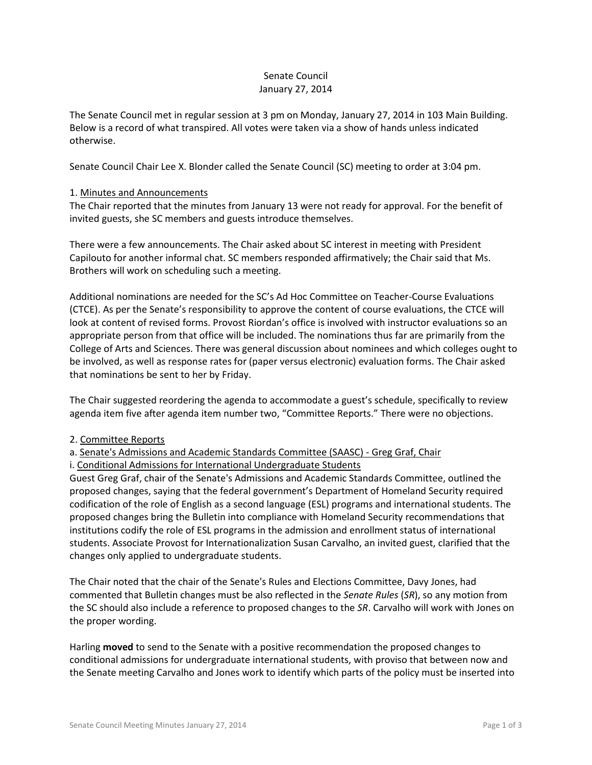# Senate Council January 27, 2014

The Senate Council met in regular session at 3 pm on Monday, January 27, 2014 in 103 Main Building. Below is a record of what transpired. All votes were taken via a show of hands unless indicated otherwise.

Senate Council Chair Lee X. Blonder called the Senate Council (SC) meeting to order at 3:04 pm.

# 1. Minutes and Announcements

The Chair reported that the minutes from January 13 were not ready for approval. For the benefit of invited guests, she SC members and guests introduce themselves.

There were a few announcements. The Chair asked about SC interest in meeting with President Capilouto for another informal chat. SC members responded affirmatively; the Chair said that Ms. Brothers will work on scheduling such a meeting.

Additional nominations are needed for the SC's Ad Hoc Committee on Teacher-Course Evaluations (CTCE). As per the Senate's responsibility to approve the content of course evaluations, the CTCE will look at content of revised forms. Provost Riordan's office is involved with instructor evaluations so an appropriate person from that office will be included. The nominations thus far are primarily from the College of Arts and Sciences. There was general discussion about nominees and which colleges ought to be involved, as well as response rates for (paper versus electronic) evaluation forms. The Chair asked that nominations be sent to her by Friday.

The Chair suggested reordering the agenda to accommodate a guest's schedule, specifically to review agenda item five after agenda item number two, "Committee Reports." There were no objections.

#### 2. Committee Reports

a. Senate's Admissions and Academic Standards Committee (SAASC) - Greg Graf, Chair

i. Conditional Admissions for International Undergraduate Students

Guest Greg Graf, chair of the Senate's Admissions and Academic Standards Committee, outlined the proposed changes, saying that the federal government's Department of Homeland Security required codification of the role of English as a second language (ESL) programs and international students. The proposed changes bring the Bulletin into compliance with Homeland Security recommendations that institutions codify the role of ESL programs in the admission and enrollment status of international students. Associate Provost for Internationalization Susan Carvalho, an invited guest, clarified that the changes only applied to undergraduate students.

The Chair noted that the chair of the Senate's Rules and Elections Committee, Davy Jones, had commented that Bulletin changes must be also reflected in the *Senate Rules* (*SR*), so any motion from the SC should also include a reference to proposed changes to the *SR*. Carvalho will work with Jones on the proper wording.

Harling **moved** to send to the Senate with a positive recommendation the proposed changes to conditional admissions for undergraduate international students, with proviso that between now and the Senate meeting Carvalho and Jones work to identify which parts of the policy must be inserted into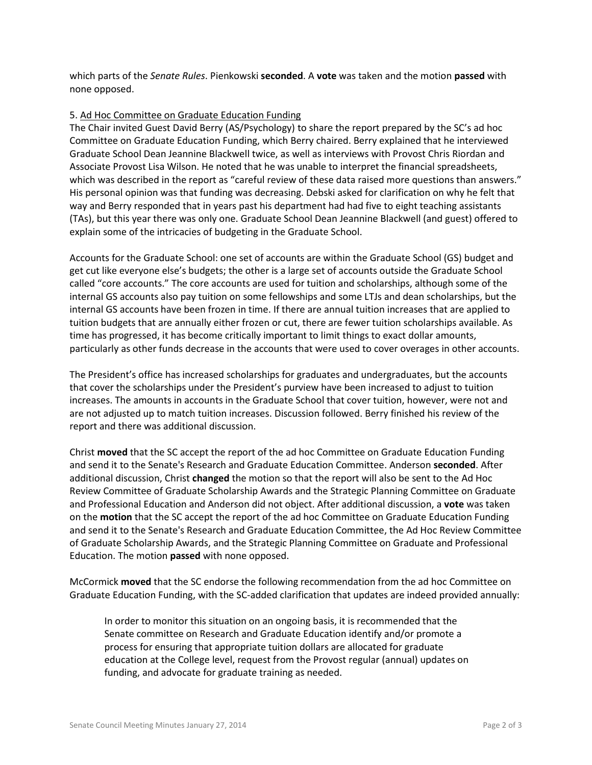which parts of the *Senate Rules*. Pienkowski **seconded**. A **vote** was taken and the motion **passed** with none opposed.

## 5. Ad Hoc Committee on Graduate Education Funding

The Chair invited Guest David Berry (AS/Psychology) to share the report prepared by the SC's ad hoc Committee on Graduate Education Funding, which Berry chaired. Berry explained that he interviewed Graduate School Dean Jeannine Blackwell twice, as well as interviews with Provost Chris Riordan and Associate Provost Lisa Wilson. He noted that he was unable to interpret the financial spreadsheets, which was described in the report as "careful review of these data raised more questions than answers." His personal opinion was that funding was decreasing. Debski asked for clarification on why he felt that way and Berry responded that in years past his department had had five to eight teaching assistants (TAs), but this year there was only one. Graduate School Dean Jeannine Blackwell (and guest) offered to explain some of the intricacies of budgeting in the Graduate School.

Accounts for the Graduate School: one set of accounts are within the Graduate School (GS) budget and get cut like everyone else's budgets; the other is a large set of accounts outside the Graduate School called "core accounts." The core accounts are used for tuition and scholarships, although some of the internal GS accounts also pay tuition on some fellowships and some LTJs and dean scholarships, but the internal GS accounts have been frozen in time. If there are annual tuition increases that are applied to tuition budgets that are annually either frozen or cut, there are fewer tuition scholarships available. As time has progressed, it has become critically important to limit things to exact dollar amounts, particularly as other funds decrease in the accounts that were used to cover overages in other accounts.

The President's office has increased scholarships for graduates and undergraduates, but the accounts that cover the scholarships under the President's purview have been increased to adjust to tuition increases. The amounts in accounts in the Graduate School that cover tuition, however, were not and are not adjusted up to match tuition increases. Discussion followed. Berry finished his review of the report and there was additional discussion.

Christ **moved** that the SC accept the report of the ad hoc Committee on Graduate Education Funding and send it to the Senate's Research and Graduate Education Committee. Anderson **seconded**. After additional discussion, Christ **changed** the motion so that the report will also be sent to the Ad Hoc Review Committee of Graduate Scholarship Awards and the Strategic Planning Committee on Graduate and Professional Education and Anderson did not object. After additional discussion, a **vote** was taken on the **motion** that the SC accept the report of the ad hoc Committee on Graduate Education Funding and send it to the Senate's Research and Graduate Education Committee, the Ad Hoc Review Committee of Graduate Scholarship Awards, and the Strategic Planning Committee on Graduate and Professional Education. The motion **passed** with none opposed.

McCormick **moved** that the SC endorse the following recommendation from the ad hoc Committee on Graduate Education Funding, with the SC-added clarification that updates are indeed provided annually:

In order to monitor this situation on an ongoing basis, it is recommended that the Senate committee on Research and Graduate Education identify and/or promote a process for ensuring that appropriate tuition dollars are allocated for graduate education at the College level, request from the Provost regular (annual) updates on funding, and advocate for graduate training as needed.